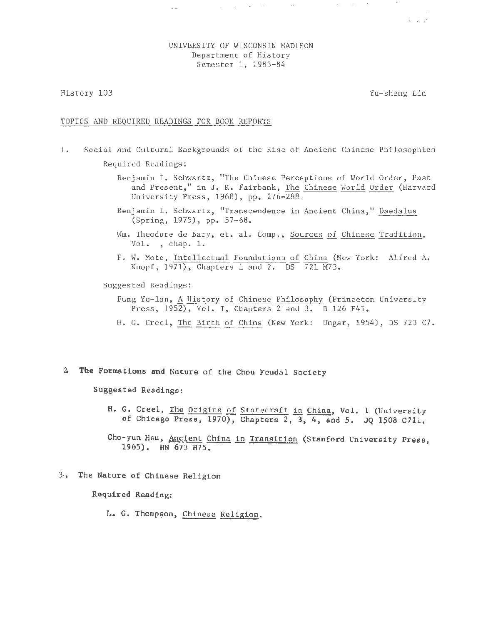# UNIVERSITY OF WISCONSIN-MADISON Department of History Semester 1, 1983-84

 $\Delta_{\rm{max}}$  and  $\Delta_{\rm{max}}$  and  $\Delta_{\rm{max}}$ 

History 103

Yu-sheng Lin

 $\Delta\Delta\phi$  and  $\Delta\phi$  are  $\Delta\phi$ 

*/l*   $N = \sqrt{2}$ 

## TOPICS AND REQUIRED READINGS FOR BOOK REPORTS

 $\sim$ 

- 1. Social and Cultural Backgrounds of the Rise of Ancient Chinese Philosophies Required Readings:
	- Benjamin I. Schwartz, "The Chinese Perceptions of World Order, Past and Present," in J. K. Fairbank, The Chinese World Order (Harvard University Press, 1968), pp. 276-288.
	- Benjamin I. Schwartz, "Transcendence in Ancient China," Daedalus (Spring, 1975), pp. 57-68.
	- Wm. Theodore de Bary, et. al. Comp., Sources of Chinese Tradition, Vol. , chap. 1.
	- F. W. Mote, Intellectual Foundations of China (New York: Alfred A. Knopf, 1971), Chapters 1 and 2. DS 721 M73.

Suggested Readings :

- Fung Yu- lan, A History of Chinese Philosophy (Princeton University Press,  $1952$ , Vol. I, Chapters 2 and 3. B 126 F41.
- H. G. Creel, The Birth of China (New York: Ungar, 1954), DS 723 C7.
- 4 **The** Formations and Nature of the Chou Feudal Society

Suggested Readings:

- H. G. Creel, The Origins of Statecraft in China, Vol. 1 (University of Chicago Press, 1970), Chapters 2, 3, 4, and 5. JO 1508 C711.
- Cho-yun Hsu, Ancient China in Transition (Stanford University Press, 1965). HN 673 H75.
- 3· . The Nature of Chinese Religion

Required Reading:

L. G. Thompson, Chinese Religion.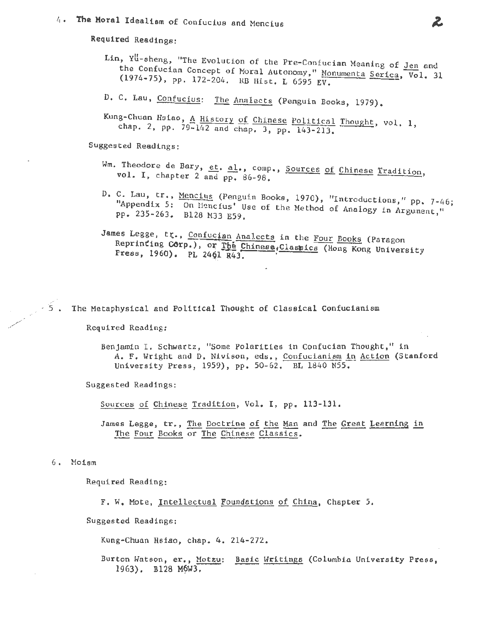# 4. The Moral Idealism of Confucius and Mencius

Required Readings:

- Lin, Yu-sheng, "The Evolution of the Pre-Confucian Meaning of Jen and the Confucian Concept of Moral Autonomy," Monumenta Serica, Vol. 31 (1974-75), pp. 172-204. RB Hist. L 6595 EV.
- D. C. Lau, Confucius: The Analects (Penguin Books, 1979).

Kung-Chuan Hsiao, A History of Chinese Political Thought, vol. 1, chap. 2, pp. 79-142 and chap. 3, pp. 143-213.

Suggested Readings:

- Wm. Theodore de Bary, et. al., comp., Sources of Chinese Tradition, vol. I, chapter 2 and pp. 86-98.
- D. C. Lau, tr., Mencius (Penguin Books, 1970), "Introductions," pp. 7-46; "Appendix 5: On Hancfus' Use of the Method of Analogy in Argument," pp. 235-263. B128 M33 E59.
- James Legge, tr., Confucian Analects in the Four Books (Paragon Reprinting Corp.), or The Chinese, Classics (Hong Kong University Press, 1960). PL 2461 R43.

The Metaphysical and Political Thought of Classical Confucianism

Required Reading:

Benjamin I. Schwartz, "Some Polarities in Confucian Thought," in A. F. Wright and D. Nivison, eds., Confucianism in Action (Stanford University Press, 1959), pp. 50-62, BL 1840 N55.

Suggested Readings:

Sources of Chinese Tradition, Vol. I, pp. 113-131.

James Legge, tr., The Doctrine of the Man and The Great Learning in The Four Books or The Chinese Classics.

6. Moism

Required Reading:

F. W. Mote, Intellectual Foundations of China, Chapter 5.

Suggested Readings;

Kung-Chuan Hsiao, chap. 4. 214-272.

Burton Watson, er., Motzu: Basic Writings (Columbia University Press, 1963). B128 M6W3.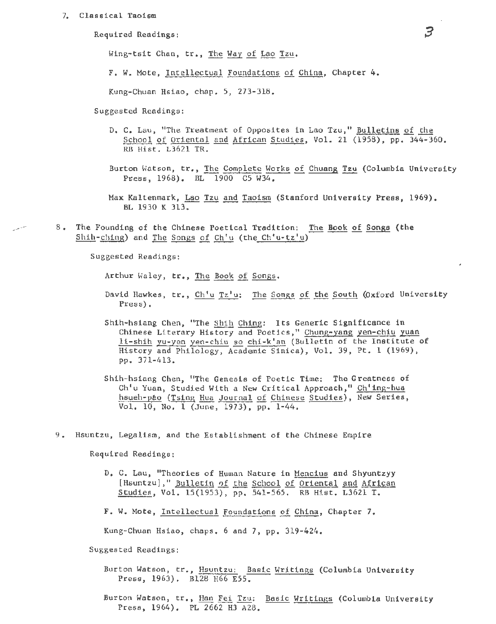#### 7. Classical Taoism

Required Readings:

Wing-tsit Chan, tr., The Way of Lao Tzu.

F. W. Mote, Intellectual Foundations of China, Chapter 4.

Kung-Chuan Hsiao, chap. 5, 273-318.

Suggested Readings:

- D. C. Lau, "The Treatment of Opposites in Lao Tzu," Bulletins of the School of Oriental and African Studies, Vol. 21 (1958), pp.  $344-360$ . RB Hist. L3621 TR.
- Burton Watson, tr., The Complete Works of Chuang Tzu (Columbia University Press, 1968). BL 1900 C5 W34.
- Max Kaltenmark, Lao Tzu and Taoism (Stanford University Press, 1969). BL 1930 K 313.
- 8. The Founding of the Chinese Poetical Tradition: The Book of Songs (the Shih-ching) and The Songs of Ch'u (the Ch'u-tz'u)

Suggested Readings:

المرار

Arthur Waley, tr., The Book of Songs.

- David Hawkes, tr., Ch'u Tz'u: The Songs of the South (Oxford University Press).
- Shih-hsiang Chen, "The Shih Ching: Its Generic Significance in Chinese Literary History and Poetics," Chung-yang yen-chiu yuan li-shih yu-yen yen-chiu so chi-k'an (Bulletin of the Institute of History and Philology, Academic Sinica), Vol. 39, Pt. 1 (1969), pp. 371-413.
- Shih-hsiang Chen, "The Genesis of Poetic Time: The Greatness of Ch'u Yuan, Studied With a New Critical Approach," Ch'ing-hua hsueh-pao (Tsing Hua Journal of Chinese Studies), New Series, Vol. 10, No. 1 (June, 1973), pp. 1-44.
- 9. Hsuntzu, Legalism, and the Establishment of the Chinese Empire

Required Readings:

- D. C. Lau, "Theories of Human Nature in Mencius and Shyuntzyy [Hsuntzu]," Bulletin of the School of Oriental and African Studies, Vol. 15(1953), pp. 541-565. RB Hist. L3621 T.
- F. W. Mote, Intellectual Foundations of China, Chapter 7.

Kung-Chuan Hsiao, chaps. 6 and 7, pp. 319-424.

Suggested Readings:

- Burton Watson, tr., Hsuntzu: Basic Writings (Columbia University Press, 1963). B128 H66 E55.
- Burton Watson, tr., Han Fei Tzu: Basic Writings (Columbia University Press, 1964). PL 2662 H3 A28.

 $\beta$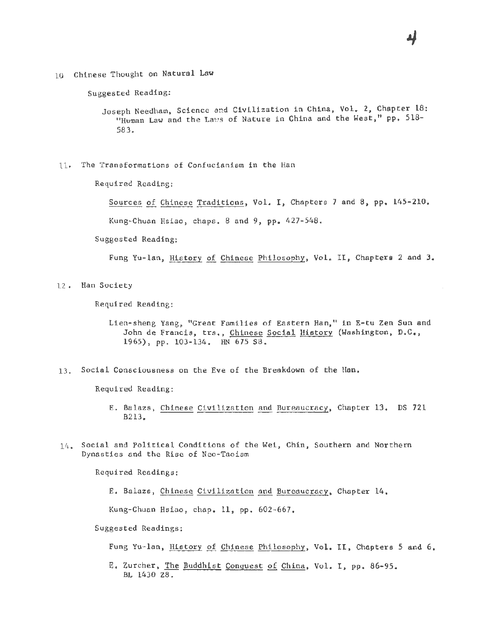'10 Chinese Thought on Natural Law

Suggested Reading:

Joseph Needham, Science and Civilization in China, Vol. 2, Chapter 18: "Human Law and the Laws of Nature in China and the West," pp. 518-583.

11· .The Transformations of Confucianism in the Han

Required Reading:

Sources of Cbinese Traditions, Vol. I, Chapters 7 and 8, pp. 145-210.

Kung-Chuan Hsiao, chaps. 8 and 9, pp. 427-548.

Suggested Reading:

Fung Yu-lan, History of Chinese Philosophy, Vol. II, Chapters 2 and 3.

12. Han Society

Required Reading:

- Lien-sheng Yang, "Great Families of Eastern Han," in E-tu Zen Sun and John de Francis, trs., Chinese Social History (Washington, D.C., 1965), pp. 103-134. HN 675 S8.
- 13. Social Consciousness on the Eve of the Breakdown of the Han.

Required Reading:

- E. Balazs, Chinese Civilization and Bureaucracy, Chapter 13. DS 721 B213.
- 14. Social and Political Conditions of the Wei, Chin, Southern and Northern Dynasties and the Rise of Neo-Taoism

Required Readings:

E. Balazs, Chinese Civilization and Bureaucracy, Chapter 14.

Kung-Chuan Hsiao, chap. 11, pp. 602-667.

Suggested Readings:

Fung Yu-lan, History of Chinese Philosophy, Vol. II, Chapters 5 and 6.

E. Zurcher, The Buddhist Conquest of China, Vol. I, pp. 86-95. BL 1430 Z8.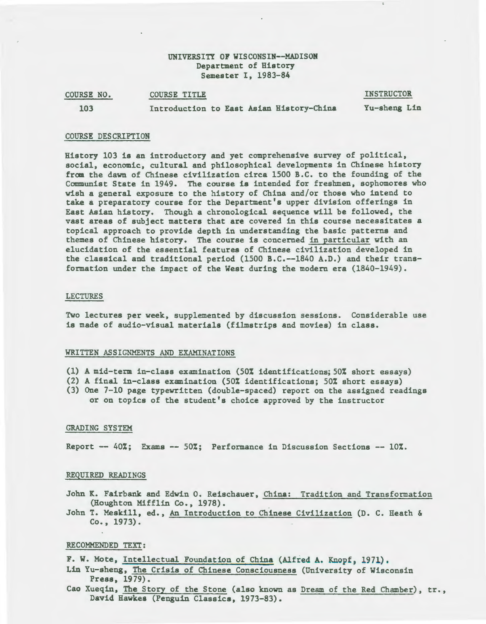# UNIVERSITY OF WISCONSIN--MADISON Department of History Semester I, 1983-84

| COURSE NO. | <b>COURSE TITLE</b>                      | <b>INSTRUCTOR</b> |
|------------|------------------------------------------|-------------------|
| 103        | Introduction to East Asian History-China | Yu-sheng Lin      |

## COURSE DESCRIPTION

History 103 is an introductory and yet comprehensive survey of political, social, economic, cultural and philosophical developments in Chinese history from the dawn of Chinese civilization circa 1500 B.C. to the founding of the Communist State in 1949. The course is intended for freshmen, sophomores who wish a general exposure to the history of China and/or those who intend to take a preparatory course for the Department's upper division offerings in East Asian history. Though a chronological sequence will be followed, the vast areas of subject matters that are covered in this course necessitates a topical approach to provide depth in understanding the basic patterns and themes of Chinese history. The course is concerned in particular with an elucidation of the essential features of Chinese civilization developed in the classical and traditional period (1500 B.C.--1840 A.D.) and their transformation under the impact of the West during the modern era (1840-1949).

## LECTURES

Two lectures per week, supplemented by discussion sessions. Considerable use is made of audio-visual materials (filmstrips and movies) in class.

## WRITTEN ASSIGNMENTS AND EXAMINATIONS

- (1) A mid-term in-class examination (50% identifications; SO% short essays)
- (2) A final in-class examination (50% identifications; 50% short essays)
- (3) One 7-10 page typewritten (double-spaced) report on the assigned readings or on topics of the student's choice approved by the instructor

#### GRADING SYSTEM

Report  $--$  40%; Exams  $--$  50%; Performance in Discussion Sections  $--$  10%.

#### REQUIRED READINGS

- John K. Fairbank and Edwin 0. Reischauer, China: Tradition and Transformation (Houghton Mifflin Co., 1978).
- John T. Meskill, ed., An Introduction to Chinese Civilization (D. C. Heath & Co., 1973).

#### RECOMMENDED TEXT:

F. W. Mote, Intellectual Foundation of China (Alfred A. Knopf, 1971),

- Lin Yu-sheng, The Crisis of Chinese Consciousness (University of Wisconsin Press, 1979).
- Cao Xueqin, The Story of the Stone (also known as Dream of the Red Chamber), tr., David Hawkes (Penguin Classics, 1973-83).